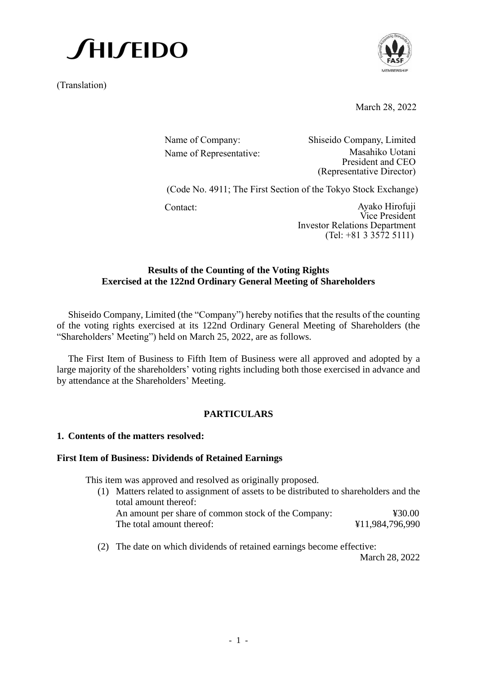(Translation)



March 28, 2022

| Name of Company:        | Shiseido Company, Limited            |  |
|-------------------------|--------------------------------------|--|
| Name of Representative: | Masahiko Uotani<br>President and CEO |  |
|                         | (Representative Director)            |  |

(Code No. 4911; The First Section of the Tokyo Stock Exchange)

Contact: Ayako Hirofuji Vice President Investor Relations Department (Tel: +81 3 3572 5111)

#### **Results of the Counting of the Voting Rights Exercised at the 122nd Ordinary General Meeting of Shareholders**

Shiseido Company, Limited (the "Company") hereby notifies that the results of the counting of the voting rights exercised at its 122nd Ordinary General Meeting of Shareholders (the "Shareholders' Meeting") held on March 25, 2022, are as follows.

The First Item of Business to Fifth Item of Business were all approved and adopted by a large majority of the shareholders' voting rights including both those exercised in advance and by attendance at the Shareholders' Meeting.

#### **PARTICULARS**

#### **1. Contents of the matters resolved:**

#### **First Item of Business: Dividends of Retained Earnings**

This item was approved and resolved as originally proposed.

(1) Matters related to assignment of assets to be distributed to shareholders and the total amount thereof:

An amount per share of common stock of the Company:  $\text{\textdegree{}}\, 30.00$ The total amount thereof:  $\text{\$11,984,796,990}$ 

(2) The date on which dividends of retained earnings become effective:

March 28, 2022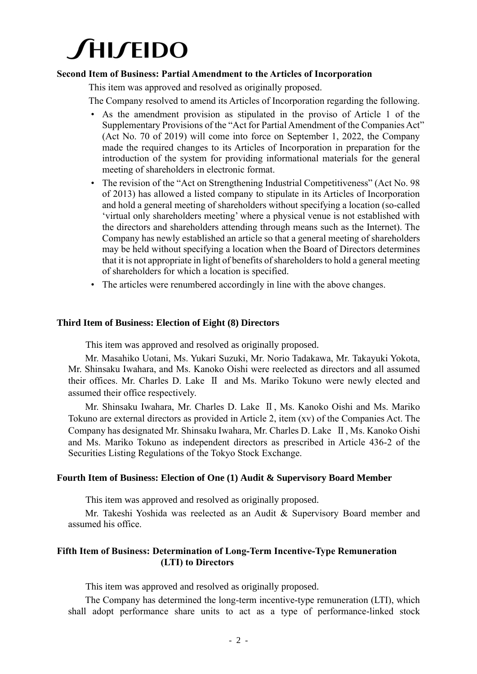#### **Second Item of Business: Partial Amendment to the Articles of Incorporation**

This item was approved and resolved as originally proposed.

The Company resolved to amend its Articles of Incorporation regarding the following.

- As the amendment provision as stipulated in the proviso of Article 1 of the Supplementary Provisions of the "Act for Partial Amendment of the Companies Act" (Act No. 70 of 2019) will come into force on September 1, 2022, the Company made the required changes to its Articles of Incorporation in preparation for the introduction of the system for providing informational materials for the general meeting of shareholders in electronic format.
- The revision of the "Act on Strengthening Industrial Competitiveness" (Act No. 98) of 2013) has allowed a listed company to stipulate in its Articles of Incorporation and hold a general meeting of shareholders without specifying a location (so-called 'virtual only shareholders meeting' where a physical venue is not established with the directors and shareholders attending through means such as the Internet). The Company has newly established an article so that a general meeting of shareholders may be held without specifying a location when the Board of Directors determines that it is not appropriate in light of benefits of shareholders to hold a general meeting of shareholders for which a location is specified.
- The articles were renumbered accordingly in line with the above changes.

#### **Third Item of Business: Election of Eight (8) Directors**

This item was approved and resolved as originally proposed.

Mr. Masahiko Uotani, Ms. Yukari Suzuki, Mr. Norio Tadakawa, Mr. Takayuki Yokota, Mr. Shinsaku Iwahara, and Ms. Kanoko Oishi were reelected as directors and all assumed their offices. Mr. Charles D. Lake Ⅱ and Ms. Mariko Tokuno were newly elected and assumed their office respectively.

Mr. Shinsaku Iwahara, Mr. Charles D. Lake Ⅱ, Ms. Kanoko Oishi and Ms. Mariko Tokuno are external directors as provided in Article 2, item (xv) of the Companies Act. The Company has designated Mr. Shinsaku Iwahara, Mr. Charles D. Lake Ⅱ, Ms. Kanoko Oishi and Ms. Mariko Tokuno as independent directors as prescribed in Article 436-2 of the Securities Listing Regulations of the Tokyo Stock Exchange.

#### **Fourth Item of Business: Election of One (1) Audit & Supervisory Board Member**

This item was approved and resolved as originally proposed.

Mr. Takeshi Yoshida was reelected as an Audit & Supervisory Board member and assumed his office.

#### **Fifth Item of Business: Determination of Long-Term Incentive-Type Remuneration (LTI) to Directors**

This item was approved and resolved as originally proposed.

The Company has determined the long-term incentive-type remuneration (LTI), which shall adopt performance share units to act as a type of performance-linked stock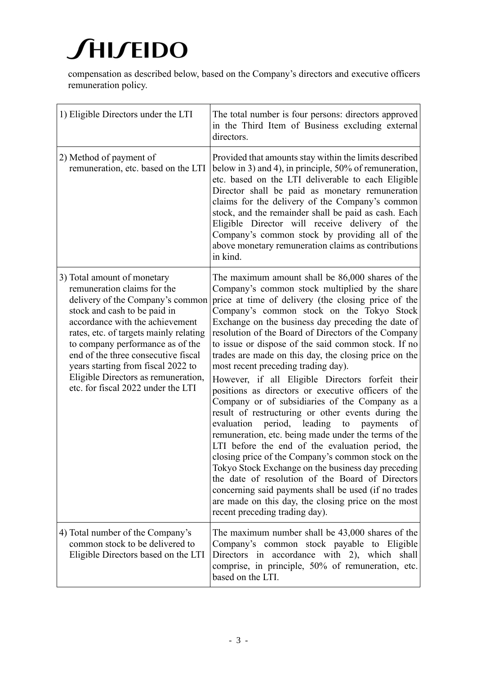compensation as described below, based on the Company's directors and executive officers remuneration policy.

| 1) Eligible Directors under the LTI                                                                                                                                                                                                                                                                                                                                                                       | The total number is four persons: directors approved<br>in the Third Item of Business excluding external<br>directors.                                                                                                                                                                                                                                                                                                                                                                                                                                                                                                                                                                                                                                                                                                                                                                                                                                                                                                                                                                                                                                                     |
|-----------------------------------------------------------------------------------------------------------------------------------------------------------------------------------------------------------------------------------------------------------------------------------------------------------------------------------------------------------------------------------------------------------|----------------------------------------------------------------------------------------------------------------------------------------------------------------------------------------------------------------------------------------------------------------------------------------------------------------------------------------------------------------------------------------------------------------------------------------------------------------------------------------------------------------------------------------------------------------------------------------------------------------------------------------------------------------------------------------------------------------------------------------------------------------------------------------------------------------------------------------------------------------------------------------------------------------------------------------------------------------------------------------------------------------------------------------------------------------------------------------------------------------------------------------------------------------------------|
| 2) Method of payment of<br>remuneration, etc. based on the LTI                                                                                                                                                                                                                                                                                                                                            | Provided that amounts stay within the limits described<br>below in 3) and 4), in principle, 50% of remuneration,<br>etc. based on the LTI deliverable to each Eligible<br>Director shall be paid as monetary remuneration<br>claims for the delivery of the Company's common<br>stock, and the remainder shall be paid as cash. Each<br>Eligible Director will receive delivery of the<br>Company's common stock by providing all of the<br>above monetary remuneration claims as contributions<br>in kind.                                                                                                                                                                                                                                                                                                                                                                                                                                                                                                                                                                                                                                                                |
| 3) Total amount of monetary<br>remuneration claims for the<br>delivery of the Company's common<br>stock and cash to be paid in<br>accordance with the achievement<br>rates, etc. of targets mainly relating<br>to company performance as of the<br>end of the three consecutive fiscal<br>years starting from fiscal 2022 to<br>Eligible Directors as remuneration,<br>etc. for fiscal 2022 under the LTI | The maximum amount shall be 86,000 shares of the<br>Company's common stock multiplied by the share<br>price at time of delivery (the closing price of the<br>Company's common stock on the Tokyo Stock<br>Exchange on the business day preceding the date of<br>resolution of the Board of Directors of the Company<br>to issue or dispose of the said common stock. If no<br>trades are made on this day, the closing price on the<br>most recent preceding trading day).<br>However, if all Eligible Directors forfeit their<br>positions as directors or executive officers of the<br>Company or of subsidiaries of the Company as a<br>result of restructuring or other events during the<br>evaluation period, leading to payments<br>of<br>remuneration, etc. being made under the terms of the<br>LTI before the end of the evaluation period, the<br>closing price of the Company's common stock on the<br>Tokyo Stock Exchange on the business day preceding<br>the date of resolution of the Board of Directors<br>concerning said payments shall be used (if no trades<br>are made on this day, the closing price on the most<br>recent preceding trading day). |
| 4) Total number of the Company's<br>common stock to be delivered to<br>Eligible Directors based on the LTI                                                                                                                                                                                                                                                                                                | The maximum number shall be 43,000 shares of the<br>Company's common stock payable to Eligible<br>Directors in accordance with 2), which shall<br>comprise, in principle, 50% of remuneration, etc.<br>based on the LTI.                                                                                                                                                                                                                                                                                                                                                                                                                                                                                                                                                                                                                                                                                                                                                                                                                                                                                                                                                   |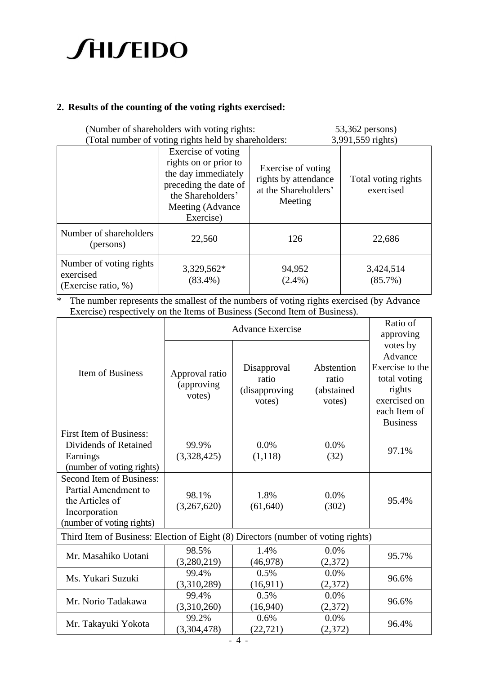#### **2. Results of the counting of the voting rights exercised:**

| (Number of shareholders with voting rights:<br>(Total number of voting rights held by shareholders: |                                                                                                                                                   |                                                                               | $53,362$ persons)<br>3,991,559 rights) |  |
|-----------------------------------------------------------------------------------------------------|---------------------------------------------------------------------------------------------------------------------------------------------------|-------------------------------------------------------------------------------|----------------------------------------|--|
|                                                                                                     | Exercise of voting<br>rights on or prior to<br>the day immediately<br>preceding the date of<br>the Shareholders'<br>Meeting (Advance<br>Exercise) | Exercise of voting<br>rights by attendance<br>at the Shareholders'<br>Meeting | Total voting rights<br>exercised       |  |
| Number of shareholders<br>(persons)                                                                 | 22,560                                                                                                                                            | 126                                                                           | 22,686                                 |  |
| Number of voting rights<br>exercised<br>(Exercise ratio, %)                                         | 3,329,562*<br>$(83.4\%)$                                                                                                                          | 94,952<br>$(2.4\%)$                                                           | 3,424,514<br>$(85.7\%)$                |  |

\* The number represents the smallest of the numbers of voting rights exercised (by Advance Exercise) respectively on the Items of Business (Second Item of Business).

|                                                                                                                   | <b>Advance Exercise</b>                |                                                  |                                             | Ratio of<br>approving                                                                                               |
|-------------------------------------------------------------------------------------------------------------------|----------------------------------------|--------------------------------------------------|---------------------------------------------|---------------------------------------------------------------------------------------------------------------------|
| <b>Item of Business</b>                                                                                           | Approval ratio<br>(approving<br>votes) | Disapproval<br>ratio<br>(disapproving)<br>votes) | Abstention<br>ratio<br>(abstained<br>votes) | votes by<br>Advance<br>Exercise to the<br>total voting<br>rights<br>exercised on<br>each Item of<br><b>Business</b> |
| <b>First Item of Business:</b><br>Dividends of Retained<br>Earnings<br>(number of voting rights)                  | 99.9%<br>(3,328,425)                   | 0.0%<br>(1,118)                                  | 0.0%<br>(32)                                | 97.1%                                                                                                               |
| Second Item of Business:<br>Partial Amendment to<br>the Articles of<br>Incorporation<br>(number of voting rights) | 98.1%<br>(3,267,620)                   | 1.8%<br>(61, 640)                                | 0.0%<br>(302)                               | 95.4%                                                                                                               |
| Third Item of Business: Election of Eight (8) Directors (number of voting rights)                                 |                                        |                                                  |                                             |                                                                                                                     |
| Mr. Masahiko Uotani                                                                                               | 98.5%<br>(3,280,219)                   | 1.4%<br>(46,978)                                 | 0.0%<br>(2,372)                             | 95.7%                                                                                                               |
| Ms. Yukari Suzuki                                                                                                 | 99.4%<br>(3,310,289)                   | 0.5%<br>(16,911)                                 | 0.0%<br>(2,372)                             | 96.6%                                                                                                               |
| Mr. Norio Tadakawa                                                                                                | 99.4%<br>(3,310,260)                   | 0.5%<br>(16,940)                                 | 0.0%<br>(2,372)                             | 96.6%                                                                                                               |
| Mr. Takayuki Yokota                                                                                               | 99.2%<br>(3,304,478)                   | 0.6%<br>(22, 721)                                | 0.0%<br>(2,372)                             | 96.4%                                                                                                               |